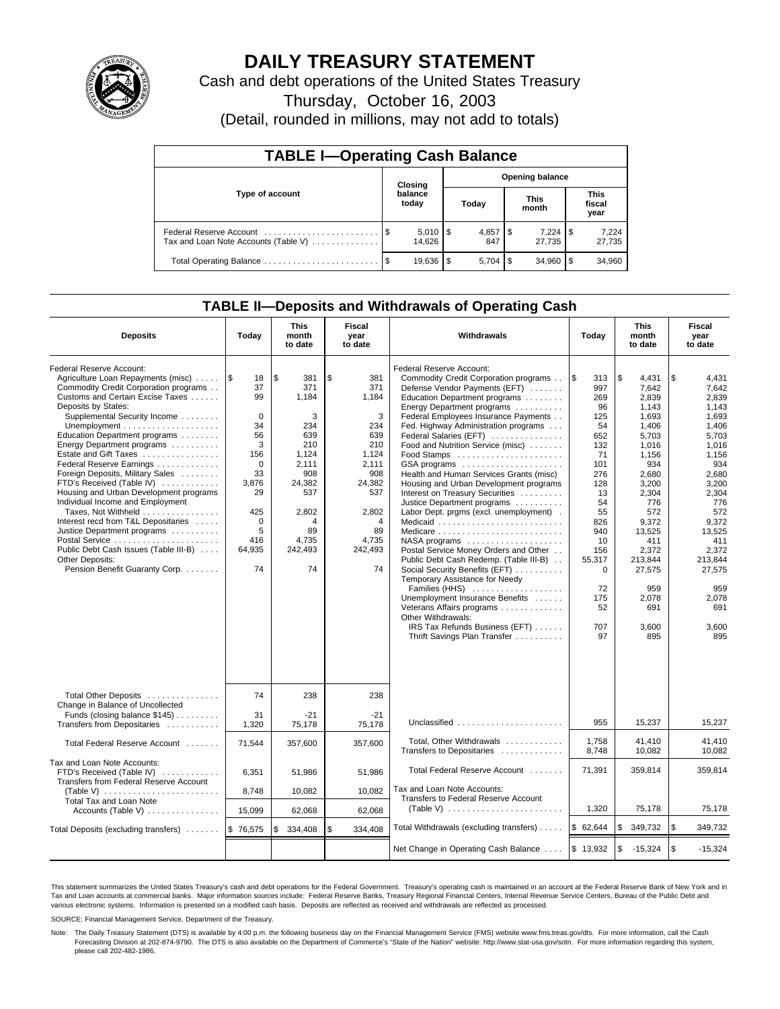

## **DAILY TREASURY STATEMENT**

Cash and debt operations of the United States Treasury

Thursday, October 16, 2003

(Detail, rounded in millions, may not add to totals)

| <b>TABLE I-Operating Cash Balance</b>                           |  |                        |                        |           |  |                 |     |                               |  |
|-----------------------------------------------------------------|--|------------------------|------------------------|-----------|--|-----------------|-----|-------------------------------|--|
|                                                                 |  | Closing                | <b>Opening balance</b> |           |  |                 |     |                               |  |
| Type of account                                                 |  | balance<br>today       |                        | Today     |  | This<br>month   |     | <b>This</b><br>fiscal<br>year |  |
| Federal Reserve Account<br>Tax and Loan Note Accounts (Table V) |  | $5,010$   \$<br>14.626 |                        | 847       |  | 7,224<br>27.735 | 1\$ | 7,224<br>27,735               |  |
|                                                                 |  | $19.636$ $\sqrt{5}$    |                        | $5.704$ S |  | 34.960          |     | 34,960                        |  |

## **TABLE II—Deposits and Withdrawals of Operating Cash**

| <b>Deposits</b>                                                                                                                                                                                                                                                                                                                                                                                                                                                                                                                                                                                                                                                  | Today                                                                                                                                                  | <b>This</b><br>month<br>to date                                                                                                             | Fiscal<br>year<br>to date                                                                                                                   | Withdrawals                                                                                                                                                                                                                                                                                                                                                                                                                                                                                                                                                                                                                                                                                                                                                                                                                                                                                                     | Today                                                                                                                                                                                       | <b>This</b><br>month<br>to date                                                                                                                                                                                                    | Fiscal<br>year<br>to date                                                                                                                                                                                                          |
|------------------------------------------------------------------------------------------------------------------------------------------------------------------------------------------------------------------------------------------------------------------------------------------------------------------------------------------------------------------------------------------------------------------------------------------------------------------------------------------------------------------------------------------------------------------------------------------------------------------------------------------------------------------|--------------------------------------------------------------------------------------------------------------------------------------------------------|---------------------------------------------------------------------------------------------------------------------------------------------|---------------------------------------------------------------------------------------------------------------------------------------------|-----------------------------------------------------------------------------------------------------------------------------------------------------------------------------------------------------------------------------------------------------------------------------------------------------------------------------------------------------------------------------------------------------------------------------------------------------------------------------------------------------------------------------------------------------------------------------------------------------------------------------------------------------------------------------------------------------------------------------------------------------------------------------------------------------------------------------------------------------------------------------------------------------------------|---------------------------------------------------------------------------------------------------------------------------------------------------------------------------------------------|------------------------------------------------------------------------------------------------------------------------------------------------------------------------------------------------------------------------------------|------------------------------------------------------------------------------------------------------------------------------------------------------------------------------------------------------------------------------------|
| Federal Reserve Account:<br>Agriculture Loan Repayments (misc)<br>Commodity Credit Corporation programs<br>Customs and Certain Excise Taxes<br>Deposits by States:<br>Supplemental Security Income<br>Education Department programs<br>Energy Department programs<br>Estate and Gift Taxes<br>Federal Reserve Earnings<br>Foreign Deposits, Military Sales<br>FTD's Received (Table IV)<br>Housing and Urban Development programs<br>Individual Income and Employment<br>Taxes, Not Withheld<br>Interest recd from T&L Depositaries<br>Justice Department programs<br>Public Debt Cash Issues (Table III-B)<br>Other Deposits:<br>Pension Benefit Guaranty Corp. | $\sqrt{3}$<br>18<br>37<br>99<br>$\mathbf 0$<br>34<br>56<br>3<br>156<br>$\Omega$<br>33<br>3,876<br>29<br>425<br>$\mathbf 0$<br>5<br>416<br>64,935<br>74 | \$<br>381<br>371<br>1,184<br>3<br>234<br>639<br>210<br>1,124<br>2,111<br>908<br>24,382<br>537<br>2,802<br>4<br>89<br>4,735<br>242,493<br>74 | \$<br>381<br>371<br>1.184<br>3<br>234<br>639<br>210<br>1,124<br>2,111<br>908<br>24,382<br>537<br>2,802<br>4<br>89<br>4,735<br>242,493<br>74 | Federal Reserve Account:<br>Commodity Credit Corporation programs<br>Defense Vendor Payments (EFT)<br>Education Department programs<br>Energy Department programs<br>Federal Employees Insurance Payments<br>Fed. Highway Administration programs<br>Federal Salaries (EFT)<br>Food and Nutrition Service (misc)<br>Food Stamps<br>GSA programs<br>Health and Human Services Grants (misc)<br>Housing and Urban Development programs<br>Interest on Treasury Securities<br>Justice Department programs<br>Labor Dept. prgms (excl. unemployment).<br>Medicaid<br>NASA programs<br>Postal Service Money Orders and Other<br>Public Debt Cash Redemp. (Table III-B)<br>Social Security Benefits (EFT)<br>Temporary Assistance for Needy<br>Families (HHS)<br>Unemployment Insurance Benefits<br>Veterans Affairs programs<br>Other Withdrawals:<br>IRS Tax Refunds Business (EFT)<br>Thrift Savings Plan Transfer | l \$<br>313<br>997<br>269<br>96<br>125<br>54<br>652<br>132<br>71<br>101<br>276<br>128<br>13<br>54<br>55<br>826<br>940<br>10<br>156<br>55,317<br>$\mathbf 0$<br>72<br>175<br>52<br>707<br>97 | \$<br>4.431<br>7.642<br>2,839<br>1,143<br>1,693<br>1,406<br>5,703<br>1.016<br>1,156<br>934<br>2,680<br>3,200<br>2,304<br>776<br>572<br>9,372<br>13,525<br>411<br>2,372<br>213,844<br>27,575<br>959<br>2,078<br>691<br>3,600<br>895 | \$<br>4.431<br>7,642<br>2,839<br>1,143<br>1,693<br>1,406<br>5.703<br>1,016<br>1,156<br>934<br>2,680<br>3,200<br>2,304<br>776<br>572<br>9,372<br>13,525<br>411<br>2,372<br>213.844<br>27,575<br>959<br>2,078<br>691<br>3,600<br>895 |
| Total Other Deposits<br>Change in Balance of Uncollected<br>Funds (closing balance \$145)                                                                                                                                                                                                                                                                                                                                                                                                                                                                                                                                                                        | 74<br>31                                                                                                                                               | 238<br>$-21$                                                                                                                                | 238<br>$-21$                                                                                                                                | Unclassified                                                                                                                                                                                                                                                                                                                                                                                                                                                                                                                                                                                                                                                                                                                                                                                                                                                                                                    | 955                                                                                                                                                                                         | 15,237                                                                                                                                                                                                                             |                                                                                                                                                                                                                                    |
| Transfers from Depositaries<br>Total Federal Reserve Account                                                                                                                                                                                                                                                                                                                                                                                                                                                                                                                                                                                                     | 1,320<br>71,544                                                                                                                                        | 75,178<br>357,600                                                                                                                           | 75,178<br>357,600                                                                                                                           | Total, Other Withdrawals                                                                                                                                                                                                                                                                                                                                                                                                                                                                                                                                                                                                                                                                                                                                                                                                                                                                                        | 1,758<br>8.748                                                                                                                                                                              | 41,410<br>10,082                                                                                                                                                                                                                   | 15,237<br>41.410<br>10.082                                                                                                                                                                                                         |
| Tax and Loan Note Accounts:<br>FTD's Received (Table IV)<br>Transfers from Federal Reserve Account<br>(Table V) $\ldots \ldots \ldots \ldots \ldots \ldots \ldots$                                                                                                                                                                                                                                                                                                                                                                                                                                                                                               | 6,351<br>8,748                                                                                                                                         | 51.986<br>10,082                                                                                                                            | 51.986<br>10,082                                                                                                                            | Transfers to Depositaries<br>Total Federal Reserve Account<br>Tax and Loan Note Accounts:                                                                                                                                                                                                                                                                                                                                                                                                                                                                                                                                                                                                                                                                                                                                                                                                                       | 71,391                                                                                                                                                                                      | 359,814                                                                                                                                                                                                                            | 359,814                                                                                                                                                                                                                            |
| Total Tax and Loan Note<br>Accounts (Table V) $\dots \dots \dots \dots$                                                                                                                                                                                                                                                                                                                                                                                                                                                                                                                                                                                          | 15,099                                                                                                                                                 | 62,068                                                                                                                                      | 62,068                                                                                                                                      | Transfers to Federal Reserve Account<br>(Table V) $\ldots \ldots \ldots \ldots \ldots \ldots \ldots$                                                                                                                                                                                                                                                                                                                                                                                                                                                                                                                                                                                                                                                                                                                                                                                                            | 1,320                                                                                                                                                                                       | 75,178                                                                                                                                                                                                                             | 75,178                                                                                                                                                                                                                             |
| Total Deposits (excluding transfers)                                                                                                                                                                                                                                                                                                                                                                                                                                                                                                                                                                                                                             | \$76.575                                                                                                                                               | 334.408                                                                                                                                     | \$<br>334.408                                                                                                                               | Total Withdrawals (excluding transfers)                                                                                                                                                                                                                                                                                                                                                                                                                                                                                                                                                                                                                                                                                                                                                                                                                                                                         | \$62,644                                                                                                                                                                                    | \$<br>349,732                                                                                                                                                                                                                      | \$<br>349,732                                                                                                                                                                                                                      |
|                                                                                                                                                                                                                                                                                                                                                                                                                                                                                                                                                                                                                                                                  |                                                                                                                                                        |                                                                                                                                             |                                                                                                                                             | Net Change in Operating Cash Balance                                                                                                                                                                                                                                                                                                                                                                                                                                                                                                                                                                                                                                                                                                                                                                                                                                                                            | \$13,932                                                                                                                                                                                    | \$<br>$-15,324$                                                                                                                                                                                                                    | l \$<br>$-15,324$                                                                                                                                                                                                                  |

This statement summarizes the United States Treasury's cash and debt operations for the Federal Government. Treasury's operating cash is maintained in an account at the Federal Reserve Bank of New York and in Tax and Loan accounts at commercial banks. Major information sources include: Federal Reserve Banks, Treasury Regional Financial Centers, Internal Revenue Service Centers, Bureau of the Public Debt and<br>various electronic s

SOURCE: Financial Management Service, Department of the Treasury.

Note: The Daily Treasury Statement (DTS) is available by 4:00 p.m. the following business day on the Financial Management Service (FMS) website www.fms.treas.gov/dts. For more information, call the Cash Forecasting Division at 202-874-9790. The DTS is also available on the Department of Commerce's "State of the Nation" website: http://www.stat-usa.gov/sotn. For more information regarding this system, please call 202-482-1986.